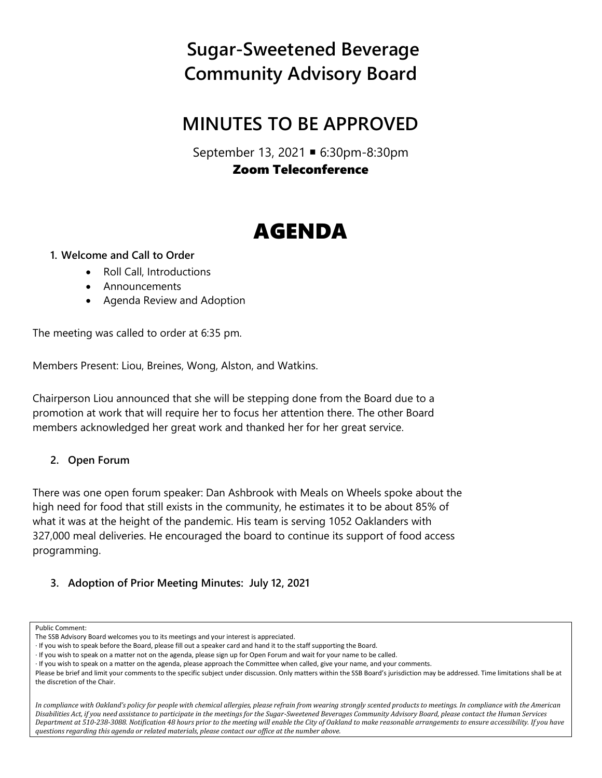## **Sugar-Sweetened Beverage Community Advisory Board**

### **MINUTES TO BE APPROVED**

September 13, 2021 6:30pm-8:30pm Zoom Teleconference

# AGENDA

#### **1. Welcome and Call to Order**

- Roll Call, Introductions
- Announcements
- Agenda Review and Adoption

The meeting was called to order at 6:35 pm.

Members Present: Liou, Breines, Wong, Alston, and Watkins.

Chairperson Liou announced that she will be stepping done from the Board due to a promotion at work that will require her to focus her attention there. The other Board members acknowledged her great work and thanked her for her great service.

#### **2. Open Forum**

There was one open forum speaker: Dan Ashbrook with Meals on Wheels spoke about the high need for food that still exists in the community, he estimates it to be about 85% of what it was at the height of the pandemic. His team is serving 1052 Oaklanders with 327,000 meal deliveries. He encouraged the board to continue its support of food access programming.

**3. Adoption of Prior Meeting Minutes: July 12, 2021**

Public Comment:

In compliance with Oakland's policy for people with chemical allergies, please refrain from wearing strongly scented products to meetings. In compliance with the American *Disabilities Act, if you need assistance to participate in the meetings for the Sugar-Sweetened Beverages Community Advisory Board, please contact the Human Services Department at 510-238-3088. Notification 48 hours prior to the meeting will enable the City of Oakland to make reasonable arrangements to ensure accessibility. If you have questions regarding this agenda or related materials, please contact our office at the number above.*

The SSB Advisory Board welcomes you to its meetings and your interest is appreciated.

<sup>·</sup> If you wish to speak before the Board, please fill out a speaker card and hand it to the staff supporting the Board.

<sup>·</sup> If you wish to speak on a matter not on the agenda, please sign up for Open Forum and wait for your name to be called.

<sup>·</sup> If you wish to speak on a matter on the agenda, please approach the Committee when called, give your name, and your comments.

Please be brief and limit your comments to the specific subject under discussion. Only matters within the SSB Board's jurisdiction may be addressed. Time limitations shall be at the discretion of the Chair.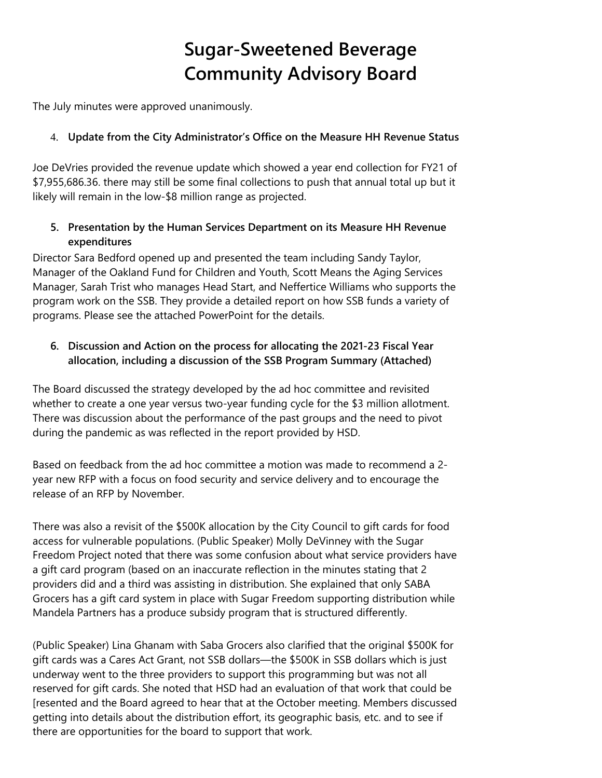### **Sugar-Sweetened Beverage Community Advisory Board**

The July minutes were approved unanimously.

#### 4. **Update from the City Administrator's Office on the Measure HH Revenue Status**

Joe DeVries provided the revenue update which showed a year end collection for FY21 of \$7,955,686.36. there may still be some final collections to push that annual total up but it likely will remain in the low-\$8 million range as projected.

#### **5. Presentation by the Human Services Department on its Measure HH Revenue expenditures**

Director Sara Bedford opened up and presented the team including Sandy Taylor, Manager of the Oakland Fund for Children and Youth, Scott Means the Aging Services Manager, Sarah Trist who manages Head Start, and Neffertice Williams who supports the program work on the SSB. They provide a detailed report on how SSB funds a variety of programs. Please see the attached PowerPoint for the details.

#### **6. Discussion and Action on the process for allocating the 2021-23 Fiscal Year allocation, including a discussion of the SSB Program Summary (Attached)**

The Board discussed the strategy developed by the ad hoc committee and revisited whether to create a one year versus two-year funding cycle for the \$3 million allotment. There was discussion about the performance of the past groups and the need to pivot during the pandemic as was reflected in the report provided by HSD.

Based on feedback from the ad hoc committee a motion was made to recommend a 2 year new RFP with a focus on food security and service delivery and to encourage the release of an RFP by November.

There was also a revisit of the \$500K allocation by the City Council to gift cards for food access for vulnerable populations. (Public Speaker) Molly DeVinney with the Sugar Freedom Project noted that there was some confusion about what service providers have a gift card program (based on an inaccurate reflection in the minutes stating that 2 providers did and a third was assisting in distribution. She explained that only SABA Grocers has a gift card system in place with Sugar Freedom supporting distribution while Mandela Partners has a produce subsidy program that is structured differently.

(Public Speaker) Lina Ghanam with Saba Grocers also clarified that the original \$500K for gift cards was a Cares Act Grant, not SSB dollars—the \$500K in SSB dollars which is just underway went to the three providers to support this programming but was not all reserved for gift cards. She noted that HSD had an evaluation of that work that could be [resented and the Board agreed to hear that at the October meeting. Members discussed getting into details about the distribution effort, its geographic basis, etc. and to see if there are opportunities for the board to support that work.